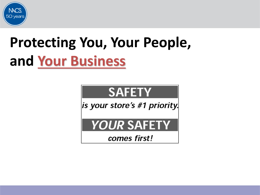

# **Protecting You, Your People, and Your Business**

# **SAFETY**

is your store's #1 priority.

### **YOUR SAFETY**

comes first!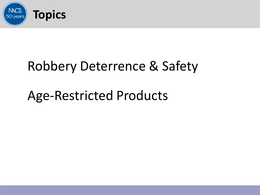

# Robbery Deterrence & Safety

# Age-Restricted Products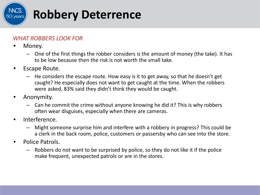

#### *WHAT ROBBERS LOOK FOR*

- Money.
	- One of the first things the robber considers is the amount of money (the take). It has to be low because then the risk is not worth the small take.
- Escape Route.
	- He considers the escape route. How easy is it to get away, so that he doesn't get caught? He especially does not want to get caught at the time. When the robbers were asked, 83% said they didn't think they would be caught.
- Anonymity.
	- Can he commit the crime without anyone knowing he did it? This is why robbers often wear disguises, especially when there are cameras.
- Interference.
	- Might someone surprise him and interfere with a robbery in progress? This could be a clerk in the back room, police, customers or passersby who can see into the store.
- Police Patrols.
	- Robbers do not want to be surprised by police, so they do not like it if the police make frequent, unexpected patrols or are in the stores.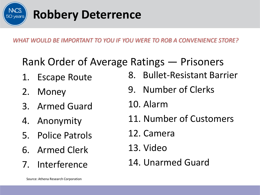

*WHAT WOULD BE IMPORTANT TO YOU IF YOU WERE TO ROB A CONVENIENCE STORE?*

### Rank Order of Average Ratings — Prisoners

- 1. Escape Route
- 2. Money
- 3. Armed Guard
- 4. Anonymity
- 5. Police Patrols
- 6. Armed Clerk
- 7. Interference
- 8. Bullet-Resistant Barrier
- 9. Number of Clerks
- 10. Alarm
- 11. Number of Customers
- 12. Camera
- 13. Video
- 14. Unarmed Guard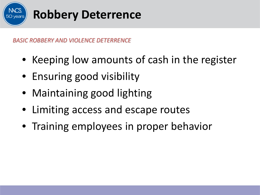

*BASIC ROBBERY AND VIOLENCE DETERRENCE*

- Keeping low amounts of cash in the register
- Ensuring good visibility
- Maintaining good lighting
- Limiting access and escape routes
- Training employees in proper behavior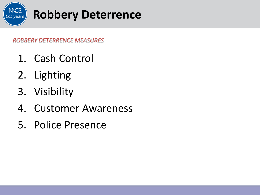

- 1. Cash Control
- 2. Lighting
- 3. Visibility
- 4. Customer Awareness
- 5. Police Presence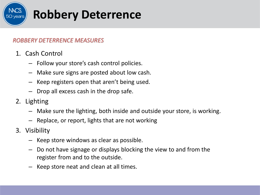

- 1. Cash Control
	- Follow your store's cash control policies.
	- Make sure signs are posted about low cash.
	- Keep registers open that aren't being used.
	- Drop all excess cash in the drop safe.
- 2. Lighting
	- Make sure the lighting, both inside and outside your store, is working.
	- Replace, or report, lights that are not working
- 3. Visibility
	- Keep store windows as clear as possible.
	- Do not have signage or displays blocking the view to and from the register from and to the outside.
	- Keep store neat and clean at all times.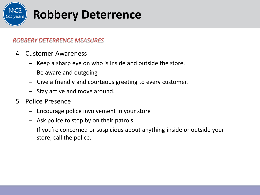

- 4. Customer Awareness
	- Keep a sharp eye on who is inside and outside the store.
	- Be aware and outgoing
	- Give a friendly and courteous greeting to every customer.
	- Stay active and move around.
- 5. Police Presence
	- Encourage police involvement in your store
	- Ask police to stop by on their patrols.
	- If you're concerned or suspicious about anything inside or outside your store, call the police.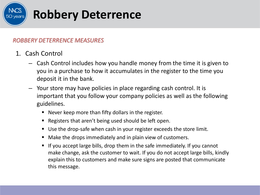

- 1. Cash Control
	- Cash Control includes how you handle money from the time it is given to you in a purchase to how it accumulates in the register to the time you deposit it in the bank.
	- Your store may have policies in place regarding cash control. It is important that you follow your company policies as well as the following guidelines.
		- Never keep more than fifty dollars in the register.
		- Registers that aren't being used should be left open.
		- Use the drop-safe when cash in your register exceeds the store limit.
		- Make the drops immediately and in plain view of customers.
		- If you accept large bills, drop them in the safe immediately. If you cannot make change, ask the customer to wait. If you do not accept large bills, kindly explain this to customers and make sure signs are posted that communicate this message.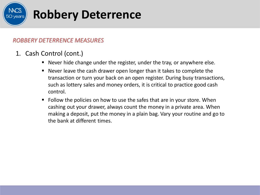

- 1. Cash Control (cont.)
	- Never hide change under the register, under the tray, or anywhere else.
	- Never leave the cash drawer open longer than it takes to complete the transaction or turn your back on an open register. During busy transactions, such as lottery sales and money orders, it is critical to practice good cash control.
	- Follow the policies on how to use the safes that are in your store. When cashing out your drawer, always count the money in a private area. When making a deposit, put the money in a plain bag. Vary your routine and go to the bank at different times.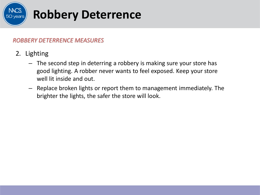

- 2. Lighting
	- The second step in deterring a robbery is making sure your store has good lighting. A robber never wants to feel exposed. Keep your store well lit inside and out.
	- Replace broken lights or report them to management immediately. The brighter the lights, the safer the store will look.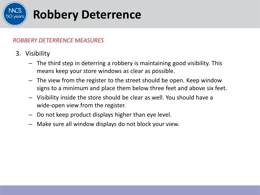

- 3. Visibility
	- The third step in deterring a robbery is maintaining good visibility. This means keep your store windows as clear as possible.
	- The view from the register to the street should be open. Keep window signs to a minimum and place them below three feet and above six feet.
	- Visibility inside the store should be clear as well. You should have a wide-open view from the register.
	- Do not keep product displays higher than eye level.
	- Make sure all window displays do not block your view.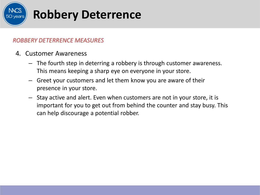

- 4. Customer Awareness
	- The fourth step in deterring a robbery is through customer awareness. This means keeping a sharp eye on everyone in your store.
	- Greet your customers and let them know you are aware of their presence in your store.
	- Stay active and alert. Even when customers are not in your store, it is important for you to get out from behind the counter and stay busy. This can help discourage a potential robber.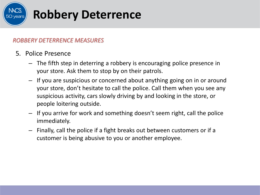

- 5. Police Presence
	- The fifth step in deterring a robbery is encouraging police presence in your store. Ask them to stop by on their patrols.
	- If you are suspicious or concerned about anything going on in or around your store, don't hesitate to call the police. Call them when you see any suspicious activity, cars slowly driving by and looking in the store, or people loitering outside.
	- If you arrive for work and something doesn't seem right, call the police immediately.
	- Finally, call the police if a fight breaks out between customers or if a customer is being abusive to you or another employee.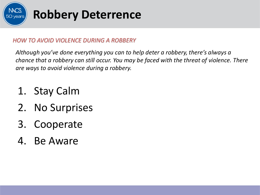

*Although you've done everything you can to help deter a robbery, there's always a chance that a robbery can still occur. You may be faced with the threat of violence. There are ways to avoid violence during a robbery.*

- 1. Stay Calm
- 2. No Surprises
- 3. Cooperate
- 4. Be Aware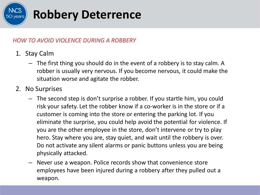

- 1. Stay Calm
	- The first thing you should do in the event of a robbery is to stay calm. A robber is usually very nervous. If you become nervous, it could make the situation worse and agitate the robber.
- 2. No Surprises
	- The second step is don't surprise a robber. If you startle him, you could risk your safety. Let the robber know if a co-worker is in the store or if a customer is coming into the store or entering the parking lot. If you eliminate the surprise, you could help avoid the potential for violence. If you are the other employee in the store, don't intervene or try to play hero. Stay where you are, stay quiet, and wait until the robbery is over. Do not activate any silent alarms or panic buttons unless you are being physically attacked.
	- Never use a weapon. Police records show that convenience store employees have been injured during a robbery after they pulled out a weapon.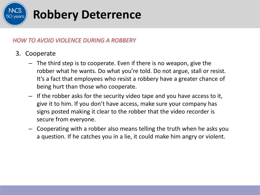

- 3. Cooperate
	- The third step is to cooperate. Even if there is no weapon, give the robber what he wants. Do what you're told. Do not argue, stall or resist. It's a fact that employees who resist a robbery have a greater chance of being hurt than those who cooperate.
	- If the robber asks for the security video tape and you have access to it, give it to him. If you don't have access, make sure your company has signs posted making it clear to the robber that the video recorder is secure from everyone.
	- Cooperating with a robber also means telling the truth when he asks you a question. If he catches you in a lie, it could make him angry or violent.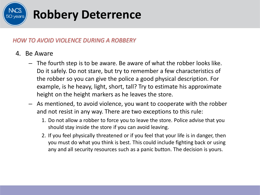

#### 4. Be Aware

- The fourth step is to be aware. Be aware of what the robber looks like. Do it safely. Do not stare, but try to remember a few characteristics of the robber so you can give the police a good physical description. For example, is he heavy, light, short, tall? Try to estimate his approximate height on the height markers as he leaves the store.
- As mentioned, to avoid violence, you want to cooperate with the robber and not resist in any way. There are two exceptions to this rule:
	- 1. Do not allow a robber to force you to leave the store. Police advise that you should stay inside the store if you can avoid leaving.
	- 2. If you feel physically threatened or if you feel that your life is in danger, then you must do what you think is best. This could include fighting back or using any and all security resources such as a panic button. The decision is yours.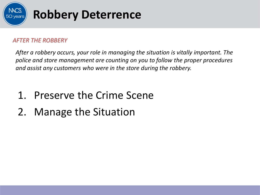

#### *AFTER THE ROBBERY*

*After a robbery occurs, your role in managing the situation is vitally important. The police and store management are counting on you to follow the proper procedures and assist any customers who were in the store during the robbery.*

- 1. Preserve the Crime Scene
- 2. Manage the Situation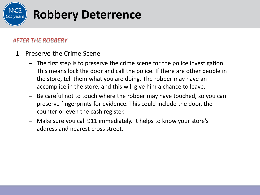

#### *AFTER THE ROBBERY*

- 1. Preserve the Crime Scene
	- The first step is to preserve the crime scene for the police investigation. This means lock the door and call the police. If there are other people in the store, tell them what you are doing. The robber may have an accomplice in the store, and this will give him a chance to leave.
	- Be careful not to touch where the robber may have touched, so you can preserve fingerprints for evidence. This could include the door, the counter or even the cash register.
	- Make sure you call 911 immediately. It helps to know your store's address and nearest cross street.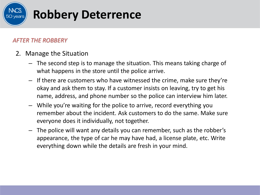

#### *AFTER THE ROBBERY*

- 2. Manage the Situation
	- The second step is to manage the situation. This means taking charge of what happens in the store until the police arrive.
	- If there are customers who have witnessed the crime, make sure they're okay and ask them to stay. If a customer insists on leaving, try to get his name, address, and phone number so the police can interview him later.
	- While you're waiting for the police to arrive, record everything you remember about the incident. Ask customers to do the same. Make sure everyone does it individually, not together.
	- The police will want any details you can remember, such as the robber's appearance, the type of car he may have had, a license plate, etc. Write everything down while the details are fresh in your mind.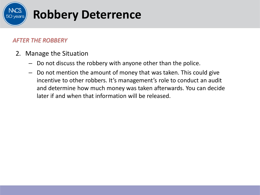

#### *AFTER THE ROBBERY*

- 2. Manage the Situation
	- Do not discuss the robbery with anyone other than the police.
	- Do not mention the amount of money that was taken. This could give incentive to other robbers. It's management's role to conduct an audit and determine how much money was taken afterwards. You can decide later if and when that information will be released.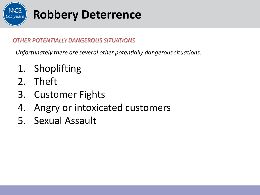

*Unfortunately there are several other potentially dangerous situations.*

- 1. Shoplifting
- 2. Theft
- 3. Customer Fights
- 4. Angry or intoxicated customers
- 5. Sexual Assault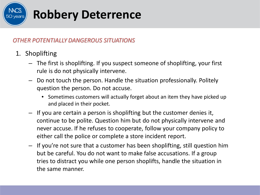

- 1. Shoplifting
	- The first is shoplifting. If you suspect someone of shoplifting, your first rule is do not physically intervene.
	- Do not touch the person. Handle the situation professionally. Politely question the person. Do not accuse.
		- Sometimes customers will actually forget about an item they have picked up and placed in their pocket.
	- If you are certain a person is shoplifting but the customer denies it, continue to be polite. Question him but do not physically intervene and never accuse. If he refuses to cooperate, follow your company policy to either call the police or complete a store incident report.
	- If you're not sure that a customer has been shoplifting, still question him but be careful. You do not want to make false accusations. If a group tries to distract you while one person shoplifts, handle the situation in the same manner.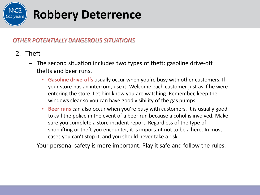

- 2. Theft
	- The second situation includes two types of theft: gasoline drive-off thefts and beer runs.
		- **Gasoline drive-offs** usually occur when you're busy with other customers. If your store has an intercom, use it. Welcome each customer just as if he were entering the store. Let him know you are watching. Remember, keep the windows clear so you can have good visibility of the gas pumps.
		- **Beer runs** can also occur when you're busy with customers. It is usually good to call the police in the event of a beer run because alcohol is involved. Make sure you complete a store incident report. Regardless of the type of shoplifting or theft you encounter, it is important not to be a hero. In most cases you can't stop it, and you should never take a risk.
	- Your personal safety is more important. Play it safe and follow the rules.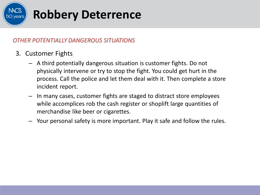

- 3. Customer Fights
	- A third potentially dangerous situation is customer fights. Do not physically intervene or try to stop the fight. You could get hurt in the process. Call the police and let them deal with it. Then complete a store incident report.
	- In many cases, customer fights are staged to distract store employees while accomplices rob the cash register or shoplift large quantities of merchandise like beer or cigarettes.
	- Your personal safety is more important. Play it safe and follow the rules.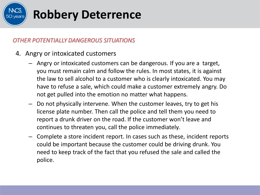

- 4. Angry or intoxicated customers
	- Angry or intoxicated customers can be dangerous. If you are a target, you must remain calm and follow the rules. In most states, it is against the law to sell alcohol to a customer who is clearly intoxicated. You may have to refuse a sale, which could make a customer extremely angry. Do not get pulled into the emotion no matter what happens.
	- Do not physically intervene. When the customer leaves, try to get his license plate number. Then call the police and tell them you need to report a drunk driver on the road. If the customer won't leave and continues to threaten you, call the police immediately.
	- Complete a store incident report. In cases such as these, incident reports could be important because the customer could be driving drunk. You need to keep track of the fact that you refused the sale and called the police.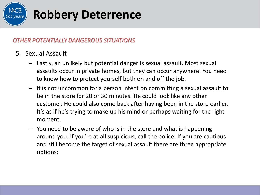

- 5. Sexual Assault
	- Lastly, an unlikely but potential danger is sexual assault. Most sexual assaults occur in private homes, but they can occur anywhere. You need to know how to protect yourself both on and off the job.
	- It is not uncommon for a person intent on committing a sexual assault to be in the store for 20 or 30 minutes. He could look like any other customer. He could also come back after having been in the store earlier. It's as if he's trying to make up his mind or perhaps waiting for the right moment.
	- You need to be aware of who is in the store and what is happening around you. If you're at all suspicious, call the police. If you are cautious and still become the target of sexual assault there are three appropriate options: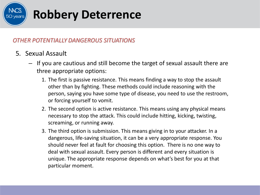

- 5. Sexual Assault
	- If you are cautious and still become the target of sexual assault there are three appropriate options:
		- 1. The first is passive resistance. This means finding a way to stop the assault other than by fighting. These methods could include reasoning with the person, saying you have some type of disease, you need to use the restroom, or forcing yourself to vomit.
		- 2. The second option is active resistance. This means using any physical means necessary to stop the attack. This could include hitting, kicking, twisting, screaming, or running away.
		- 3. The third option is submission. This means giving in to your attacker. In a dangerous, life-saving situation, it can be a very appropriate response. You should never feel at fault for choosing this option. There is no one way to deal with sexual assault. Every person is different and every situation is unique. The appropriate response depends on what's best for you at that particular moment.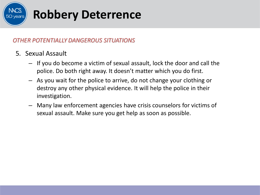

- 5. Sexual Assault
	- If you do become a victim of sexual assault, lock the door and call the police. Do both right away. It doesn't matter which you do first.
	- As you wait for the police to arrive, do not change your clothing or destroy any other physical evidence. It will help the police in their investigation.
	- Many law enforcement agencies have crisis counselors for victims of sexual assault. Make sure you get help as soon as possible.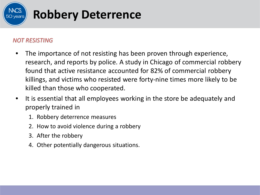

#### *NOT RESISTING*

- The importance of not resisting has been proven through experience, research, and reports by police. A study in Chicago of commercial robbery found that active resistance accounted for 82% of commercial robbery killings, and victims who resisted were forty-nine times more likely to be killed than those who cooperated.
- It is essential that all employees working in the store be adequately and properly trained in
	- 1. Robbery deterrence measures
	- 2. How to avoid violence during a robbery
	- 3. After the robbery
	- 4. Other potentially dangerous situations.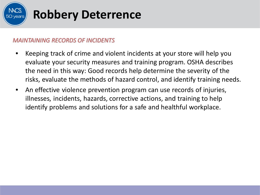

#### *MAINTAINING RECORDS OF INCIDENTS*

- Keeping track of crime and violent incidents at your store will help you evaluate your security measures and training program. OSHA describes the need in this way: Good records help determine the severity of the risks, evaluate the methods of hazard control, and identify training needs.
- An effective violence prevention program can use records of injuries, illnesses, incidents, hazards, corrective actions, and training to help identify problems and solutions for a safe and healthful workplace.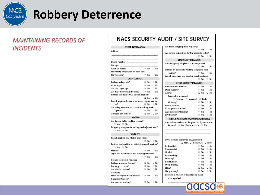

#### *MAINTAINING RECORDS OF INCIDENTS*

#### **NACS SECURITY AUDIT / SITE SURVEY**

Are tapes being replaced regularly?

#### STORE INFORMATION

| Address                                               |            |      |  |  |  |  |  |
|-------------------------------------------------------|------------|------|--|--|--|--|--|
|                                                       |            |      |  |  |  |  |  |
| Phone Number ___                                      |            |      |  |  |  |  |  |
| Manager __                                            |            |      |  |  |  |  |  |
| Open 24 hours?                                        | $\Box$ Yes | □ No |  |  |  |  |  |
| How many employees on each shift?                     |            |      |  |  |  |  |  |
| No weapons?                                           | □ Yes      | ⊟ No |  |  |  |  |  |
| <b>CASH CONTROL</b>                                   |            |      |  |  |  |  |  |
| is there a drop safe?                                 | □ Yes      | ⊔ No |  |  |  |  |  |
| Other type?                                           | $\Box$ Yes | □ No |  |  |  |  |  |
| Are cash signs up?                                    | ⊔ Yes      | ⊔ No |  |  |  |  |  |
| Are large bills being dropped?                        | ∃ Yes      | ⊟ No |  |  |  |  |  |
| is there less than \$50.00 in cash register?          |            |      |  |  |  |  |  |
|                                                       | ⊔ Yes      | ⊟ No |  |  |  |  |  |
| ls cash register drawer open when register not in     |            |      |  |  |  |  |  |
| use?                                                  | ⊔ Yes ⊔ No |      |  |  |  |  |  |
| Are safety measures in place for making bank          |            |      |  |  |  |  |  |
| deposits?                                             | ⊐Yes       | ⊟ No |  |  |  |  |  |
| Armored car pickup?                                   | ⊔ Yes ⊔ No |      |  |  |  |  |  |
| <b>LIGHTING</b>                                       |            |      |  |  |  |  |  |
| Are indoor lights working properly?                   |            |      |  |  |  |  |  |
| □ Yes □ No                                            |            |      |  |  |  |  |  |
| is lighting adequate in parking and adjacent areas?   |            |      |  |  |  |  |  |
| ⊔ Yes ⊔ No                                            |            |      |  |  |  |  |  |
| <b>VISIBILITY</b>                                     |            |      |  |  |  |  |  |
| s cash register area visible from street?             |            |      |  |  |  |  |  |
|                                                       | □ Yes      | ⊟ No |  |  |  |  |  |
| is street and parking lot visible from cash register? |            |      |  |  |  |  |  |
| ⊔ Yes ⊔ No                                            |            |      |  |  |  |  |  |
| Micrors?                                              | $\Box$ Yes | ⊟ No |  |  |  |  |  |
| Signs and merchandise not blocking window?            |            |      |  |  |  |  |  |
|                                                       | $\Box$ Yes | ⊟ No |  |  |  |  |  |
| Escape Routes & Fencing                               |            |      |  |  |  |  |  |
| s there adequate fencing?                             | ⊔ Yes      | ⊔ No |  |  |  |  |  |
| is it in good repair?                                 | $\Box$ Yes | ⊟ No |  |  |  |  |  |
| Are shrubs trimmed?                                   | ⊔ Yes      | ⊔ No |  |  |  |  |  |
| Fraining                                              |            |      |  |  |  |  |  |
| Have employees been trained?                          | $\Box$ Yes | ⊟ No |  |  |  |  |  |
| Cameras/Videos?                                       |            |      |  |  |  |  |  |
| Åre systems working?                                  | $\Box$ Yes | □ No |  |  |  |  |  |

| □ Yes □ No<br>Are signs up about not having access to video?<br>⊟ Yes<br>□ No<br><b>EMERGENCY MEASURES</b><br>Are emergency telephone numbers posted?<br>⊟ Yes<br>$\Box$ No<br>Is there an accessible working telephone near<br>⊟ Yes<br>$\Box$ No<br>register?<br>Are all cash signs and decals up and readable?<br>$\Box$ Yes<br>□ No<br>OTHER SECURITY MEASURES<br>Bullet-reistiant barriers?<br>⊟Yes<br>⊒ No<br>ΠYes<br>Door buzzers?<br>$\Box$ No<br>Alarms?<br>⊟ Yes<br>□ No<br>Personal or mounted?<br>$\Box$ Personal $\Box$ Mounted $\Box$ Both<br>□ Yes □ No<br>Working?<br>Police podium?<br>⊡ Yes<br>□ No<br>Other police relations?<br>⊟ Yes<br>□ No<br>⊡ Yes<br>Automatic door locking?<br>□ No<br>Pay Phones?<br>⊟ Yes<br>□ No<br>CRIME & NEIGHBORHOOD CHARACTERISTICS<br>Any violent incidents in the past 2 to 3 years at this<br>location? L Yes (Please record) L No<br>Level of crime activity in neighborhood -<br>$\Box$ high, $\Box$ medium, or $\Box$ low?<br>$\Box$ Yes<br>Residential?<br>□ No<br>Commercial?<br>⊟ Yes<br>□ No<br>Graffitf?<br>⊟ Yes<br>□ No<br>⊟ Yes<br>Panhanding?<br>□ No<br>Loitering?<br>⊟ Yes<br>□ No<br>Prostitution?<br>⊡ Yes<br>□ No<br>Drug-dealing?<br>⊡ Yes<br>□ No<br>Litter?<br>□ Yes<br>□ No<br>□Yes<br>□ No<br>Gang activity?<br>Location in relation to interstate or major<br>thoroughfare? The control of the control of the control of the control of the control of the control of the control of the control of the control of the control of the control of the control of the control of the control o | we elve ourie rebuove regionali: |  |  |  |  |  |
|--------------------------------------------------------------------------------------------------------------------------------------------------------------------------------------------------------------------------------------------------------------------------------------------------------------------------------------------------------------------------------------------------------------------------------------------------------------------------------------------------------------------------------------------------------------------------------------------------------------------------------------------------------------------------------------------------------------------------------------------------------------------------------------------------------------------------------------------------------------------------------------------------------------------------------------------------------------------------------------------------------------------------------------------------------------------------------------------------------------------------------------------------------------------------------------------------------------------------------------------------------------------------------------------------------------------------------------------------------------------------------------------------------------------------------------------------------------------------------------------------------------------------------------------------------------------------|----------------------------------|--|--|--|--|--|
|                                                                                                                                                                                                                                                                                                                                                                                                                                                                                                                                                                                                                                                                                                                                                                                                                                                                                                                                                                                                                                                                                                                                                                                                                                                                                                                                                                                                                                                                                                                                                                          |                                  |  |  |  |  |  |
|                                                                                                                                                                                                                                                                                                                                                                                                                                                                                                                                                                                                                                                                                                                                                                                                                                                                                                                                                                                                                                                                                                                                                                                                                                                                                                                                                                                                                                                                                                                                                                          |                                  |  |  |  |  |  |
|                                                                                                                                                                                                                                                                                                                                                                                                                                                                                                                                                                                                                                                                                                                                                                                                                                                                                                                                                                                                                                                                                                                                                                                                                                                                                                                                                                                                                                                                                                                                                                          |                                  |  |  |  |  |  |
|                                                                                                                                                                                                                                                                                                                                                                                                                                                                                                                                                                                                                                                                                                                                                                                                                                                                                                                                                                                                                                                                                                                                                                                                                                                                                                                                                                                                                                                                                                                                                                          |                                  |  |  |  |  |  |
|                                                                                                                                                                                                                                                                                                                                                                                                                                                                                                                                                                                                                                                                                                                                                                                                                                                                                                                                                                                                                                                                                                                                                                                                                                                                                                                                                                                                                                                                                                                                                                          |                                  |  |  |  |  |  |
|                                                                                                                                                                                                                                                                                                                                                                                                                                                                                                                                                                                                                                                                                                                                                                                                                                                                                                                                                                                                                                                                                                                                                                                                                                                                                                                                                                                                                                                                                                                                                                          |                                  |  |  |  |  |  |
|                                                                                                                                                                                                                                                                                                                                                                                                                                                                                                                                                                                                                                                                                                                                                                                                                                                                                                                                                                                                                                                                                                                                                                                                                                                                                                                                                                                                                                                                                                                                                                          |                                  |  |  |  |  |  |
|                                                                                                                                                                                                                                                                                                                                                                                                                                                                                                                                                                                                                                                                                                                                                                                                                                                                                                                                                                                                                                                                                                                                                                                                                                                                                                                                                                                                                                                                                                                                                                          |                                  |  |  |  |  |  |
|                                                                                                                                                                                                                                                                                                                                                                                                                                                                                                                                                                                                                                                                                                                                                                                                                                                                                                                                                                                                                                                                                                                                                                                                                                                                                                                                                                                                                                                                                                                                                                          |                                  |  |  |  |  |  |
|                                                                                                                                                                                                                                                                                                                                                                                                                                                                                                                                                                                                                                                                                                                                                                                                                                                                                                                                                                                                                                                                                                                                                                                                                                                                                                                                                                                                                                                                                                                                                                          |                                  |  |  |  |  |  |
|                                                                                                                                                                                                                                                                                                                                                                                                                                                                                                                                                                                                                                                                                                                                                                                                                                                                                                                                                                                                                                                                                                                                                                                                                                                                                                                                                                                                                                                                                                                                                                          |                                  |  |  |  |  |  |
|                                                                                                                                                                                                                                                                                                                                                                                                                                                                                                                                                                                                                                                                                                                                                                                                                                                                                                                                                                                                                                                                                                                                                                                                                                                                                                                                                                                                                                                                                                                                                                          |                                  |  |  |  |  |  |
|                                                                                                                                                                                                                                                                                                                                                                                                                                                                                                                                                                                                                                                                                                                                                                                                                                                                                                                                                                                                                                                                                                                                                                                                                                                                                                                                                                                                                                                                                                                                                                          |                                  |  |  |  |  |  |
|                                                                                                                                                                                                                                                                                                                                                                                                                                                                                                                                                                                                                                                                                                                                                                                                                                                                                                                                                                                                                                                                                                                                                                                                                                                                                                                                                                                                                                                                                                                                                                          |                                  |  |  |  |  |  |
|                                                                                                                                                                                                                                                                                                                                                                                                                                                                                                                                                                                                                                                                                                                                                                                                                                                                                                                                                                                                                                                                                                                                                                                                                                                                                                                                                                                                                                                                                                                                                                          |                                  |  |  |  |  |  |
|                                                                                                                                                                                                                                                                                                                                                                                                                                                                                                                                                                                                                                                                                                                                                                                                                                                                                                                                                                                                                                                                                                                                                                                                                                                                                                                                                                                                                                                                                                                                                                          |                                  |  |  |  |  |  |
|                                                                                                                                                                                                                                                                                                                                                                                                                                                                                                                                                                                                                                                                                                                                                                                                                                                                                                                                                                                                                                                                                                                                                                                                                                                                                                                                                                                                                                                                                                                                                                          |                                  |  |  |  |  |  |
|                                                                                                                                                                                                                                                                                                                                                                                                                                                                                                                                                                                                                                                                                                                                                                                                                                                                                                                                                                                                                                                                                                                                                                                                                                                                                                                                                                                                                                                                                                                                                                          |                                  |  |  |  |  |  |
|                                                                                                                                                                                                                                                                                                                                                                                                                                                                                                                                                                                                                                                                                                                                                                                                                                                                                                                                                                                                                                                                                                                                                                                                                                                                                                                                                                                                                                                                                                                                                                          |                                  |  |  |  |  |  |
|                                                                                                                                                                                                                                                                                                                                                                                                                                                                                                                                                                                                                                                                                                                                                                                                                                                                                                                                                                                                                                                                                                                                                                                                                                                                                                                                                                                                                                                                                                                                                                          |                                  |  |  |  |  |  |
|                                                                                                                                                                                                                                                                                                                                                                                                                                                                                                                                                                                                                                                                                                                                                                                                                                                                                                                                                                                                                                                                                                                                                                                                                                                                                                                                                                                                                                                                                                                                                                          |                                  |  |  |  |  |  |
|                                                                                                                                                                                                                                                                                                                                                                                                                                                                                                                                                                                                                                                                                                                                                                                                                                                                                                                                                                                                                                                                                                                                                                                                                                                                                                                                                                                                                                                                                                                                                                          |                                  |  |  |  |  |  |
|                                                                                                                                                                                                                                                                                                                                                                                                                                                                                                                                                                                                                                                                                                                                                                                                                                                                                                                                                                                                                                                                                                                                                                                                                                                                                                                                                                                                                                                                                                                                                                          |                                  |  |  |  |  |  |
|                                                                                                                                                                                                                                                                                                                                                                                                                                                                                                                                                                                                                                                                                                                                                                                                                                                                                                                                                                                                                                                                                                                                                                                                                                                                                                                                                                                                                                                                                                                                                                          |                                  |  |  |  |  |  |
|                                                                                                                                                                                                                                                                                                                                                                                                                                                                                                                                                                                                                                                                                                                                                                                                                                                                                                                                                                                                                                                                                                                                                                                                                                                                                                                                                                                                                                                                                                                                                                          |                                  |  |  |  |  |  |
|                                                                                                                                                                                                                                                                                                                                                                                                                                                                                                                                                                                                                                                                                                                                                                                                                                                                                                                                                                                                                                                                                                                                                                                                                                                                                                                                                                                                                                                                                                                                                                          |                                  |  |  |  |  |  |
|                                                                                                                                                                                                                                                                                                                                                                                                                                                                                                                                                                                                                                                                                                                                                                                                                                                                                                                                                                                                                                                                                                                                                                                                                                                                                                                                                                                                                                                                                                                                                                          |                                  |  |  |  |  |  |
|                                                                                                                                                                                                                                                                                                                                                                                                                                                                                                                                                                                                                                                                                                                                                                                                                                                                                                                                                                                                                                                                                                                                                                                                                                                                                                                                                                                                                                                                                                                                                                          |                                  |  |  |  |  |  |
|                                                                                                                                                                                                                                                                                                                                                                                                                                                                                                                                                                                                                                                                                                                                                                                                                                                                                                                                                                                                                                                                                                                                                                                                                                                                                                                                                                                                                                                                                                                                                                          |                                  |  |  |  |  |  |
|                                                                                                                                                                                                                                                                                                                                                                                                                                                                                                                                                                                                                                                                                                                                                                                                                                                                                                                                                                                                                                                                                                                                                                                                                                                                                                                                                                                                                                                                                                                                                                          |                                  |  |  |  |  |  |
|                                                                                                                                                                                                                                                                                                                                                                                                                                                                                                                                                                                                                                                                                                                                                                                                                                                                                                                                                                                                                                                                                                                                                                                                                                                                                                                                                                                                                                                                                                                                                                          |                                  |  |  |  |  |  |
|                                                                                                                                                                                                                                                                                                                                                                                                                                                                                                                                                                                                                                                                                                                                                                                                                                                                                                                                                                                                                                                                                                                                                                                                                                                                                                                                                                                                                                                                                                                                                                          |                                  |  |  |  |  |  |
|                                                                                                                                                                                                                                                                                                                                                                                                                                                                                                                                                                                                                                                                                                                                                                                                                                                                                                                                                                                                                                                                                                                                                                                                                                                                                                                                                                                                                                                                                                                                                                          |                                  |  |  |  |  |  |
|                                                                                                                                                                                                                                                                                                                                                                                                                                                                                                                                                                                                                                                                                                                                                                                                                                                                                                                                                                                                                                                                                                                                                                                                                                                                                                                                                                                                                                                                                                                                                                          |                                  |  |  |  |  |  |

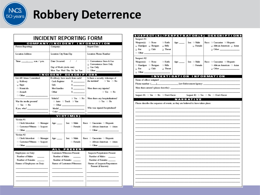

| INCIDENT REPORTING FORM                                                                                                                                                                                                        |                                                                                        |                                     |                                                                                               |                                                                           |  |  |  |
|--------------------------------------------------------------------------------------------------------------------------------------------------------------------------------------------------------------------------------|----------------------------------------------------------------------------------------|-------------------------------------|-----------------------------------------------------------------------------------------------|---------------------------------------------------------------------------|--|--|--|
|                                                                                                                                                                                                                                |                                                                                        |                                     |                                                                                               | <b>COMPANY/INCIDENT INFORMATION</b>                                       |  |  |  |
| Person Reporting:                                                                                                                                                                                                              | Company:                                                                               |                                     |                                                                                               | Report Date:                                                              |  |  |  |
| <b>Location Address</b>                                                                                                                                                                                                        | Location City/State/Zip                                                                |                                     | <b>Location Phone Number</b>                                                                  |                                                                           |  |  |  |
|                                                                                                                                                                                                                                | Date Occurred:<br>,<br>- 1<br>Day of Week (circle one):<br>Mon Tue Wed Thu Fri Sat Sun |                                     | $\Box$ Convenience Store & Gas<br>Convenience Store Only<br>⊟ Gas Only<br>$\Box$ Other $\Box$ |                                                                           |  |  |  |
|                                                                                                                                                                                                                                |                                                                                        | INCIDENT DESCRIP                    |                                                                                               | <b>TORS</b>                                                               |  |  |  |
|                                                                                                                                                                                                                                |                                                                                        |                                     |                                                                                               |                                                                           |  |  |  |
| List All Crimes Committed:                                                                                                                                                                                                     | If robbery, how much from each?                                                        |                                     |                                                                                               | Is there a security videotape of<br>the incident?<br>$\Box$ Yes $\Box$ No |  |  |  |
| □ Robbery                                                                                                                                                                                                                      | Cash Register                                                                          | s ____________                      |                                                                                               |                                                                           |  |  |  |
| $\Box$ Rape                                                                                                                                                                                                                    | Safo                                                                                   | <b>s</b> _____________              |                                                                                               |                                                                           |  |  |  |
| □ Hornicide                                                                                                                                                                                                                    | Merchandise                                                                            | $\sim$                              |                                                                                               | Were there any injuries?                                                  |  |  |  |
| $\Box$ Assault                                                                                                                                                                                                                 | Other                                                                                  | s ____________                      |                                                                                               | $\Box$ Yes $\Box$ No                                                      |  |  |  |
|                                                                                                                                                                                                                                |                                                                                        |                                     |                                                                                               |                                                                           |  |  |  |
|                                                                                                                                                                                                                                | Vohicle?                                                                               | $\Box$ Yes $\Box$ No                |                                                                                               | Were there any hospitalizations?                                          |  |  |  |
| Was the media present?                                                                                                                                                                                                         |                                                                                        | $\Box$ Auto $\Box$ Truck $\Box$ Van |                                                                                               | $\Box$ Yes $\Box$ No                                                      |  |  |  |
| $\Box$ Yes $\Box$ No                                                                                                                                                                                                           |                                                                                        | $\Box$ Other $\Box$                 |                                                                                               |                                                                           |  |  |  |
| If yes, who? The contract of the contract of the contract of the contract of the contract of the contract of the contract of the contract of the contract of the contract of the contract of the contract of the contract of t |                                                                                        | Model <b>Model Model</b>            |                                                                                               | Who was injured/hospitalized?                                             |  |  |  |
|                                                                                                                                                                                                                                | Color _________________                                                                |                                     |                                                                                               |                                                                           |  |  |  |
|                                                                                                                                                                                                                                |                                                                                        | VICTIM(S)                           |                                                                                               |                                                                           |  |  |  |
| Victim #1                                                                                                                                                                                                                      |                                                                                        |                                     |                                                                                               |                                                                           |  |  |  |
| □ Clerk/Attendant □ Manager                                                                                                                                                                                                    | Аде: _____                                                                             | Sex: 11 Male                        |                                                                                               | Race: <b>Caucasian El Hispanic</b>                                        |  |  |  |
| □ Customer/Witness □ Suspect                                                                                                                                                                                                   |                                                                                        | $\Box$ Formalo                      |                                                                                               | □ African American □ Asian                                                |  |  |  |
| $\Box$ Other $\Box$                                                                                                                                                                                                            |                                                                                        |                                     |                                                                                               | $\Box$ Other                                                              |  |  |  |
|                                                                                                                                                                                                                                |                                                                                        |                                     |                                                                                               |                                                                           |  |  |  |
| Victim #2                                                                                                                                                                                                                      |                                                                                        |                                     |                                                                                               |                                                                           |  |  |  |
| □ Clerk/Attendant □ Manager                                                                                                                                                                                                    | Ago: _____                                                                             | Sex: □ Male                         |                                                                                               | Race: □ Caucasian □ Hispanic                                              |  |  |  |
| □ Customer/Witness □ Suspect                                                                                                                                                                                                   |                                                                                        | $\Box$ Female                       |                                                                                               | □ African American □ Asian                                                |  |  |  |
| $\Box$ Other                                                                                                                                                                                                                   |                                                                                        |                                     |                                                                                               | $\Box$ Other                                                              |  |  |  |
|                                                                                                                                                                                                                                |                                                                                        | ALL PRESENT                         |                                                                                               |                                                                           |  |  |  |
| Employees on Duty:                                                                                                                                                                                                             |                                                                                        | <b>Customers/Witnesses Present:</b> |                                                                                               | Suspects/Perpetrators Present                                             |  |  |  |
| Number of Males<br>$\overline{\phantom{a}}$                                                                                                                                                                                    | Number of Males                                                                        |                                     |                                                                                               | Number of Males                                                           |  |  |  |
| Number of Females                                                                                                                                                                                                              | Number of Fernales                                                                     |                                     | Number of Females                                                                             |                                                                           |  |  |  |
| Names of Employees on Duty:                                                                                                                                                                                                    | Names of Customers/Witnesses:                                                          |                                     | Names of Suspects/Perpetrators                                                                |                                                                           |  |  |  |
|                                                                                                                                                                                                                                |                                                                                        |                                     |                                                                                               | Present (if known):                                                       |  |  |  |
|                                                                                                                                                                                                                                |                                                                                        |                                     |                                                                                               |                                                                           |  |  |  |
|                                                                                                                                                                                                                                |                                                                                        |                                     |                                                                                               |                                                                           |  |  |  |
|                                                                                                                                                                                                                                |                                                                                        |                                     |                                                                                               |                                                                           |  |  |  |
|                                                                                                                                                                                                                                |                                                                                        |                                     |                                                                                               |                                                                           |  |  |  |
|                                                                                                                                                                                                                                |                                                                                        |                                     |                                                                                               |                                                                           |  |  |  |
|                                                                                                                                                                                                                                |                                                                                        |                                     |                                                                                               |                                                                           |  |  |  |

#### **SUSPECT(S)/PERPETRATOR(S) DESCRIPTIONS** Suspect #1 Weapon(s):  $\Box$  None  $\Box$  Knife  $Age:$ Sex: 11 Male Race:  $\Box$  Caucasian  $\Box$  Hispanic □ Handgun □ Shotgun □ Rifle  $\Box$  Female □ African American □ Asian  $\Box$  Bat ⊟ Club □ Threat  $\Box$  Other Suspect #2 Weapon(s):  $\Box$  None □ Knife Sex: □ Male Race:  $\Box$  Caucasian  $\Box$  Hispanic  $Agex$  \_\_\_  $\Box$  Handgun  $\Box$  Shotgun  $\Box$  Rifle  $\Box$  Fernale □ African American □ Asian  $\Box$  Bat ⊟ Club  $\Box$  Threat  $\Box$  Other  $\Box$ **INVESTIGATION INFORMATION** Name of officer assigned: \_\_\_\_\_\_\_\_\_\_ Were there arrests? (please describe): \_\_\_\_\_\_ Suspect #1:  $\Box$  Yes  $\Box$  No  $\Box$  Don't Know Suspect #2:  $\Box$  Yes  $\Box$  No  $\Box$  Don't Know **NARRATIVE** Please describe the sequence of events, as they are believed to have taken place: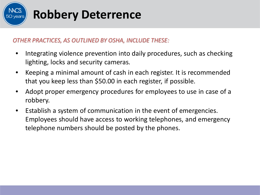

#### *OTHER PRACTICES, AS OUTLINED BY OSHA, INCLUDE THESE:*

- Integrating violence prevention into daily procedures, such as checking lighting, locks and security cameras.
- Keeping a minimal amount of cash in each register. It is recommended that you keep less than \$50.00 in each register, if possible.
- Adopt proper emergency procedures for employees to use in case of a robbery.
- Establish a system of communication in the event of emergencies. Employees should have access to working telephones, and emergency telephone numbers should be posted by the phones.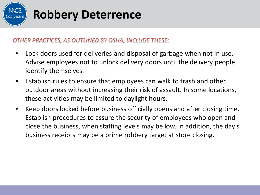

#### *OTHER PRACTICES, AS OUTLINED BY OSHA, INCLUDE THESE:*

- Lock doors used for deliveries and disposal of garbage when not in use. Advise employees not to unlock delivery doors until the delivery people identify themselves.
- Establish rules to ensure that employees can walk to trash and other outdoor areas without increasing their risk of assault. In some locations, these activities may be limited to daylight hours.
- Keep doors locked before business officially opens and after closing time. Establish procedures to assure the security of employees who open and close the business, when staffing levels may be low. In addition, the day's business receipts may be a prime robbery target at store closing.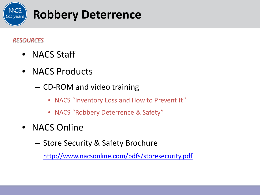

#### *RESOURCES*

- NACS Staff
- NACS Products
	- CD-ROM and video training
		- NACS "Inventory Loss and How to Prevent It"
		- NACS "Robbery Deterrence & Safety"
- NACS Online
	- Store Security & Safety Brochure

<http://www.nacsonline.com/pdfs/storesecurity.pdf>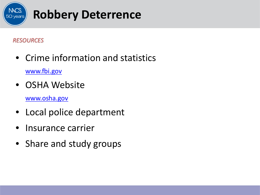

### *RESOURCES*

- Crime information and statistics [www.fbi.gov](http://www.fbi.gov/)
- OSHA Website
	- [www.osha.gov](http://www.osha.gov/)
- Local police department
- Insurance carrier
- Share and study groups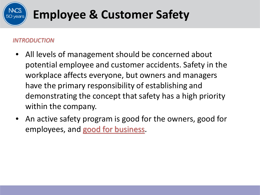#### *INTRODUCTION*

- All levels of management should be concerned about potential employee and customer accidents. Safety in the workplace affects everyone, but owners and managers have the primary responsibility of establishing and demonstrating the concept that safety has a high priority within the company.
- An active safety program is good for the owners, good for employees, and good for business.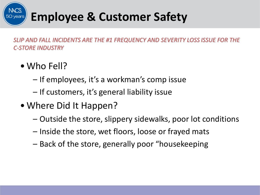

*SLIP AND FALL INCIDENTS ARE THE #1 FREQUENCY AND SEVERITY LOSS ISSUE FOR THE C-STORE INDUSTRY*

- Who Fell?
	- If employees, it's a workman's comp issue
	- If customers, it's general liability issue
- Where Did It Happen?
	- Outside the store, slippery sidewalks, poor lot conditions
	- Inside the store, wet floors, loose or frayed mats
	- Back of the store, generally poor "housekeeping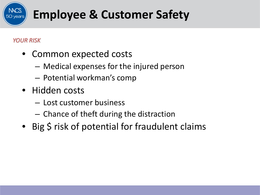### *YOUR RISK*

- Common expected costs
	- Medical expenses for the injured person
	- Potential workman's comp
- Hidden costs
	- Lost customer business
	- Chance of theft during the distraction
- Big \$ risk of potential for fraudulent claims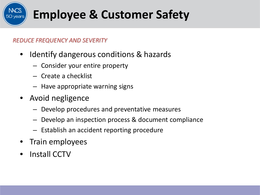### *REDUCE FREQUENCY AND SEVERITY*

- Identify dangerous conditions & hazards
	- Consider your entire property
	- Create a checklist
	- Have appropriate warning signs
- Avoid negligence
	- Develop procedures and preventative measures
	- Develop an inspection process & document compliance
	- Establish an accident reporting procedure
- Train employees
- Install CCTV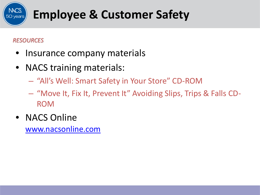### *RESOURCES*

- Insurance company materials
- NACS training materials:
	- "All's Well: Smart Safety in Your Store" CD-ROM
	- "Move It, Fix It, Prevent It" Avoiding Slips, Trips & Falls CD-ROM
- NACS Online

[www.nacsonline.com](http://www.nacsonline.com/)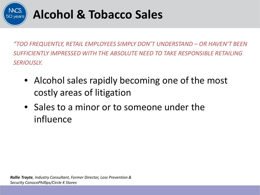

*"TOO FREQUENTLY, RETAIL EMPLOYEES SIMPLY DON'T UNDERSTAND – OR HAVEN'T BEEN SUFFICIENTLY IMPRESSED WITH THE ABSOLUTE NEED TO TAKE RESPONSIBLE RETAILING SERIOUSLY.* 

- Alcohol sales rapidly becoming one of the most costly areas of litigation
- Sales to a minor or to someone under the influence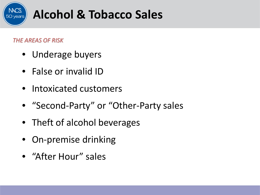

#### *THE AREAS OF RISK*

- Underage buyers
- False or invalid ID
- Intoxicated customers
- "Second-Party" or "Other-Party sales
- Theft of alcohol beverages
- On-premise drinking
- "After Hour" sales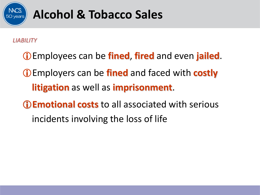

#### *LIABILITY*

- Employees can be **fined**, **fired** and even **jailed**. Employers can be **fined** and faced with **costly litigation** as well as **imprisonment**. **Emotional costs** to all associated with serious
	- incidents involving the loss of life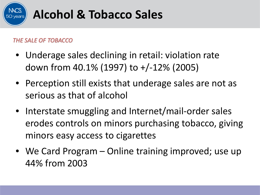

#### *THE SALE OF TOBACCO*

- Underage sales declining in retail: violation rate down from 40.1% (1997) to +/-12% (2005)
- Perception still exists that underage sales are not as serious as that of alcohol
- Interstate smuggling and Internet/mail-order sales erodes controls on minors purchasing tobacco, giving minors easy access to cigarettes
- We Card Program Online training improved; use up 44% from 2003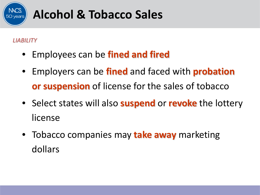

#### *LIABILITY*

- Employees can be **fined and fired**
- Employers can be **fined** and faced with **probation or suspension** of license for the sales of tobacco
- Select states will also **suspend** or **revoke** the lottery license
- Tobacco companies may **take away** marketing dollars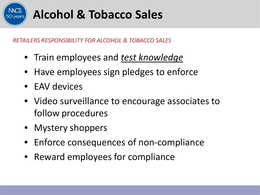

*RETAILERS RESPONSIBILITY FOR ALCOHOL & TOBACCO SALES*

- Train employees and *test knowledge*
- Have employees sign pledges to enforce
- EAV devices
- Video surveillance to encourage associates to follow procedures
- Mystery shoppers
- Enforce consequences of non-compliance
- Reward employees for compliance